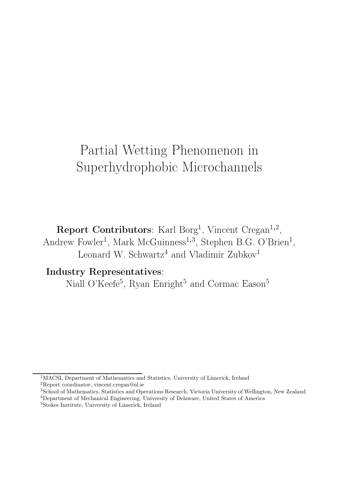# Partial Wetting Phenomenon in Superhydrophobic Microchannels

Report Contributors: Karl Borg<sup>1</sup>, Vincent Cregan<sup>1,2</sup>, Andrew Fowler<sup>1</sup>, Mark McGuinness<sup>1,3</sup>, Stephen B.G. O'Brien<sup>1</sup>, Leonard W. Schwartz<sup>4</sup> and Vladimir Zubkov<sup>1</sup>

# Industry Representatives:

Niall O'Keefe<sup>5</sup>, Ryan Enright<sup>5</sup> and Cormac Eason<sup>5</sup>

<sup>&</sup>lt;sup>1</sup>MACSI, Department of Mathematics and Statistics, University of Limerick, Ireland <sup>2</sup>Report coordinator, vincent.cregan@ul.ie

<sup>3</sup>School of Mathematics, Statistics and Operations Research, Victoria University of Wellington, New Zealand <sup>4</sup>Department of Mechanical Engineering, University of Delaware, United States of America

<sup>5</sup>Stokes Institute, University of Limerick, Ireland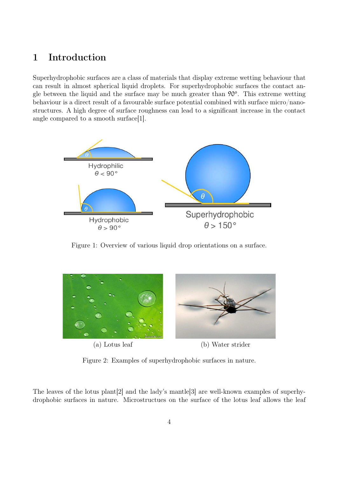# 1 Introduction

Superhydrophobic surfaces are a class of materials that display extreme wetting behaviour that can result in almost spherical liquid droplets. For superhydrophobic surfaces the contact angle between the liquid and the surface may be much greater than  $90^{\circ}$ . This extreme wetting behaviour is a direct result of a favourable surface potential combined with surface micro/nanostructures. A high degree of surface roughness can lead to a significant increase in the contact angle compared to a smooth surface[1].



Figure 1: Overview of various liquid drop orientations on a surface.



Figure 2: Examples of superhydrophobic surfaces in nature.

The leaves of the lotus plant[2] and the lady's mantle[3] are well-known examples of superhydrophobic surfaces in nature. Microstructues on the surface of the lotus leaf allows the leaf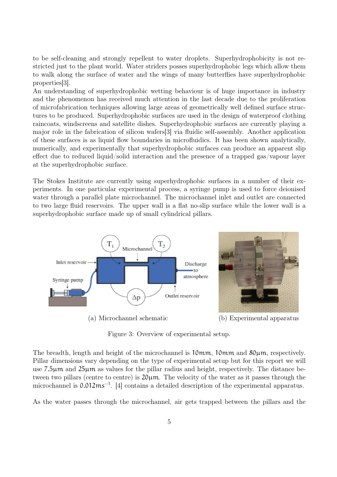to be self-cleaning and strongly repellent to water droplets. Superhydrophobicity is not restricted just to the plant world. Water striders posses superhydrophobic legs which allow them to walk along the surface of water and the wings of many butterflies have superhydrophobic properties[3].

An understanding of superhydrophobic wetting behaviour is of huge importance in industry and the phenomenon has received much attention in the last decade due to the proliferation of microfabrication techniques allowing large areas of geometrically well defined surface structures to be produced. Superhydrophobic surfaces are used in the design of waterproof clothing raincoats, windscreens and satellite dishes. Superhydrophobic surfaces are currently playing a major role in the fabrication of silicon wafers[3] via fluidic self-assembly. Another application of these surfaces is as liquid flow boundaries in microfluidics. It has been shown analytically, numerically, and experimentally that superhydrophobic surfaces can produce an apparent slip effect due to reduced liquid/solid interaction and the presence of a trapped gas/vapour layer at the superhydrophobic surface.

The Stokes Institute are currently using superhydrophobic surfaces in a number of their experiments. In one particular experimental process, a syringe pump is used to force deionised water through a parallel plate microchannel. The microchannel inlet and outlet are connected to two large fluid reservoirs. The upper wall is a flat no-slip surface while the lower wall is a superhydrophobic surface made up of small cylindrical pillars.



(a) Microchannel schematic (b) Experimental apparatus

Figure 3: Overview of experimental setup.

The breadth, length and height of the microchannel is 10mm, 10mm and 80 $\mu$ m, respectively. Pillar dimensions vary depending on the type of experimental setup but for this report we will use 7.5µm and 25µm as values for the pillar radius and height, respectively. The distance between two pillars (centre to centre) is 20µm. The velocity of the water as it passes through the microchannel is 0.012ms<sup>-1</sup>. [4] contains a detailed description of the experimental apparatus.

As the water passes through the microchannel, air gets trapped between the pillars and the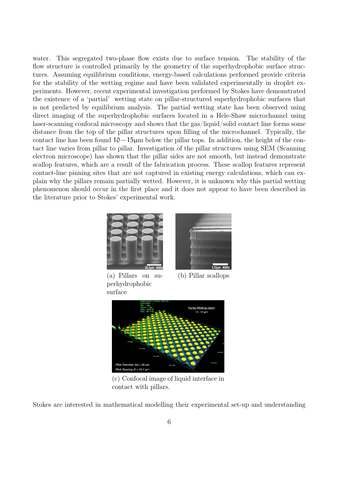water. This segregated two-phase flow exists due to surface tension. The stability of the flow structure is controlled primarily by the geometry of the superhydrophobic surface structures. Assuming equilibrium conditions, energy-based calculations performed provide criteria for the stability of the wetting regime and have been validated experimentally in droplet experiments. However, recent experimental investigation performed by Stokes have demonstrated the existence of a 'partial' wetting state on pillar-structured superhydrophobic surfaces that is not predicted by equilibrium analysis. The partial wetting state has been observed using direct imaging of the superhydrophobic surfaces located in a Hele-Shaw microchannel using laser-scanning confocal microscopy and shows that the gas/liquid/solid contact line forms some distance from the top of the pillar structures upon filling of the microchannel. Typically, the contact line has been found 10−15µm below the pillar tops. In addition, the height of the contact line varies from pillar to pillar. Investigation of the pillar structures using SEM (Scanning electron microscope) has shown that the pillar sides are not smooth, but instead demonstrate scallop features, which are a result of the fabrication process. These scallop features represent contact-line pinning sites that are not captured in existing energy calculations, which can explain why the pillars remain partially wetted. However, it is unknown why this partial wetting phenomenon should occur in the first place and it does not appear to have been described in the literature prior to Stokes' experimental work.



(a) Pillars on superhydrophobic surface



(b) Pillar scallops



(c) Confocal image of liquid interface in contact with pillars.

Stokes are interested in mathematical modelling their experimental set-up and understanding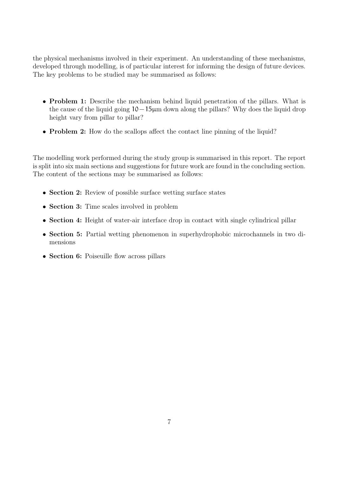the physical mechanisms involved in their experiment. An understanding of these mechanisms, developed through modelling, is of particular interest for informing the design of future devices. The key problems to be studied may be summarised as follows:

- Problem 1: Describe the mechanism behind liquid penetration of the pillars. What is the cause of the liquid going 10−15µm down along the pillars? Why does the liquid drop height vary from pillar to pillar?
- Problem 2: How do the scallops affect the contact line pinning of the liquid?

The modelling work performed during the study group is summarised in this report. The report is split into six main sections and suggestions for future work are found in the concluding section. The content of the sections may be summarised as follows:

- Section 2: Review of possible surface wetting surface states
- Section 3: Time scales involved in problem
- Section 4: Height of water-air interface drop in contact with single cylindrical pillar
- Section 5: Partial wetting phenomenon in superhydrophobic microchannels in two dimensions
- Section 6: Poiseuille flow across pillars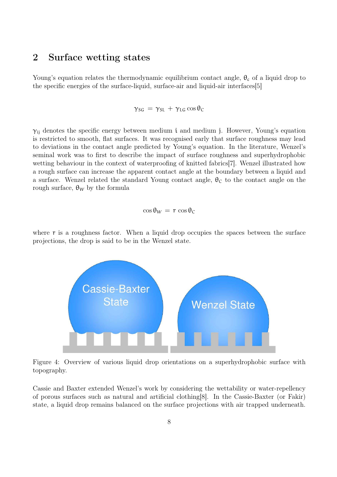## 2 Surface wetting states

Young's equation relates the thermodynamic equilibrium contact angle,  $\theta_c$  of a liquid drop to the specific energies of the surface-liquid, surface-air and liquid-air interfaces[5]

 $\gamma_{SG} = \gamma_{SL} + \gamma_{LG} \cos \theta_C$ 

 $\gamma_{ii}$  denotes the specific energy between medium i and medium j. However, Young's equation is restricted to smooth, flat surfaces. It was recognised early that surface roughness may lead to deviations in the contact angle predicted by Young's equation. In the literature, Wenzel's seminal work was to first to describe the impact of surface roughness and superhydrophobic wetting behaviour in the context of waterproofing of knitted fabrics[7]. Wenzel illustrated how a rough surface can increase the apparent contact angle at the boundary between a liquid and a surface. Wenzel related the standard Young contact angle,  $\theta_c$  to the contact angle on the rough surface,  $\theta_W$  by the formula

$$
\cos\theta_W = r \cos\theta_C
$$

where  $r$  is a roughness factor. When a liquid drop occupies the spaces between the surface projections, the drop is said to be in the Wenzel state.



Figure 4: Overview of various liquid drop orientations on a superhydrophobic surface with topography.

Cassie and Baxter extended Wenzel's work by considering the wettability or water-repellency of porous surfaces such as natural and artificial clothing[8]. In the Cassie-Baxter (or Fakir) state, a liquid drop remains balanced on the surface projections with air trapped underneath.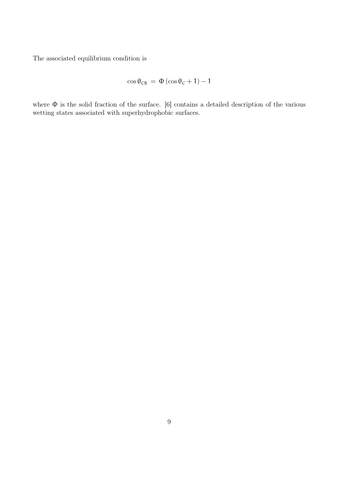The associated equilibrium condition is

$$
\cos\theta_{CB} \,=\, \Phi\left(\cos\theta_C + 1\right) - 1
$$

where Φ is the solid fraction of the surface. [6] contains a detailed description of the various wetting states associated with superhydrophobic surfaces.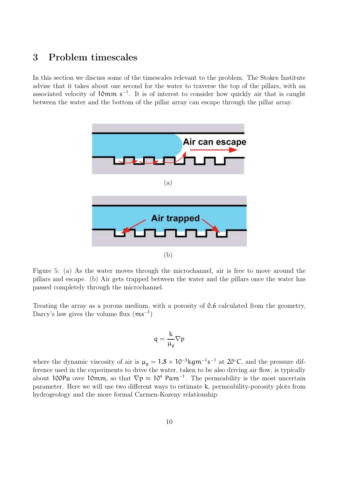## 3 Problem timescales

In this section we discuss some of the timescales relevant to the problem. The Stokes Institute advise that it takes about one second for the water to traverse the top of the pillars, with an associated velocity of 10mm s<sup>−</sup><sup>1</sup> . It is of interest to consider how quickly air that is caught between the water and the bottom of the pillar array can escape through the pillar array.



Figure 5: (a) As the water moves through the microchannel, air is free to move around the pillars and escape. (b) Air gets trapped between the water and the pillars once the water has passed completely through the microchannel.

Treating the array as a porous medium, with a porosity of 0.6 calculated from the geometry, Darcy's law gives the volume flux  $(ms^{-1})$ 

$$
q=\frac{k}{\mu_g}\nabla p
$$

where the dynamic viscosity of air is  $\mu_g = 1.8 \times 10^{-5} \text{kg} \text{m}^{-1} \text{s}^{-1}$  at 20<sup>°</sup>C, and the pressure difference used in the experiments to drive the water, taken to be also driving air flow, is typically about 100Pa over 10mm, so that  $\nabla p \approx 10^4$  Pam<sup>-1</sup>. The permeability is the most uncertain parameter. Here we will use two different ways to estimate k, permeability-porosity plots from hydrogeology and the more formal Carmen-Kozeny relationship.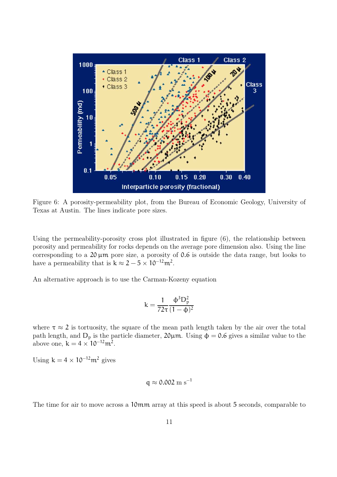

Figure 6: A porosity-permeability plot, from the Bureau of Economic Geology, University of Texas at Austin. The lines indicate pore sizes.

Using the permeability-porosity cross plot illustrated in figure (6), the relationship between porosity and permeability for rocks depends on the average pore dimension also. Using the line corresponding to a  $20 \mu m$  pore size, a porosity of 0.6 is outside the data range, but looks to have a permeability that is  $k \approx 2 - 5 \times 10^{-12} m^2$ .

An alternative approach is to use the Carman-Kozeny equation

$$
k=\frac{1}{72\tau}\frac{\varphi^3D_p^2}{(1-\varphi)^2}
$$

where  $\tau \approx 2$  is tortuosity, the square of the mean path length taken by the air over the total path length, and  $D_p$  is the particle diameter,  $20\mu$ m. Using  $\phi = 0.6$  gives a similar value to the above one,  $k = 4 \times 10^{-12} m^2$ .

Using  $k = 4 \times 10^{-12} m^2$  gives

$$
q \approx 0.002~\mathrm{m~s}^{-1}
$$

The time for air to move across a 10mm array at this speed is about 5 seconds, comparable to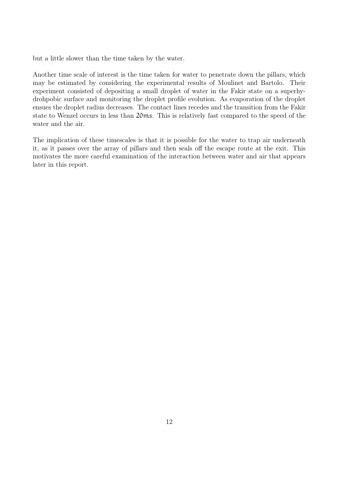but a little slower than the time taken by the water.

Another time scale of interest is the time taken for water to penetrate down the pillars, which may be estimated by considering the experimental results of Moulinet and Bartolo. Their experiment consisted of depositing a small droplet of water in the Fakir state on a superhydrohpobic surface and monitoring the droplet profile evolution. As evaporation of the droplet ensues the droplet radius decreases. The contact lines recedes and the transition from the Fakir state to Wenzel occurs in less than 20ms. This is relatively fast compared to the speed of the water and the air.

The implication of these timescales is that it is possible for the water to trap air underneath it, as it passes over the array of pillars and then seals off the escape route at the exit. This motivates the more careful examination of the interaction between water and air that appears later in this report.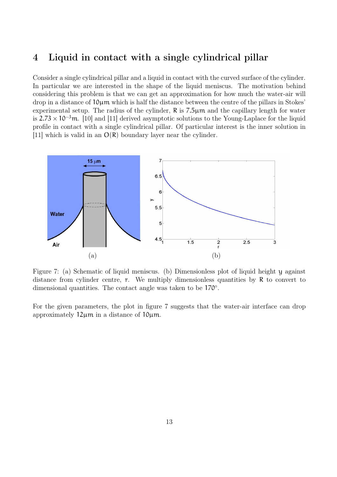## 4 Liquid in contact with a single cylindrical pillar

Consider a single cylindrical pillar and a liquid in contact with the curved surface of the cylinder. In particular we are interested in the shape of the liquid meniscus. The motivation behind considering this problem is that we can get an approximation for how much the water-air will  $\alpha$  drop in a distance of  $10\mu$ m which is half the distance between the centre of the pillars in Stokes' experimental setup. The radius of the cylinder,  $\bf{R}$  is  $\bf{7.5}\mu\rm{m}$  and the capillary length for water is  $2.73 \times 10^{-3}$ m. [10] and [11] derived asymptotic solutions to the Young-Laplace for the liquid profile in contact with a single cylindrical pillar. Of particular interest is the inner solution in [11] which is valid in an  $O(R)$  boundary layer near the cylinder.



Figure 7: (a) Schematic of liquid meniscus. (b) Dimensionless plot of liquid height y against distance from cylinder centre, r. We multiply dimensionless quantities by R to convert to dimensional quantities. The contact angle was taken to be 170◦ .

For the given parameters, the plot in figure 7 suggests that the water-air interface can drop approximately  $12\mu m$  in a distance of  $10\mu m$ .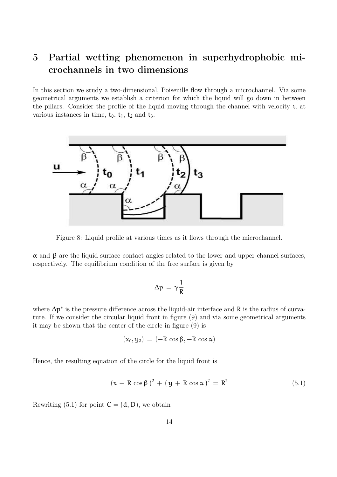# 5 Partial wetting phenomenon in superhydrophobic microchannels in two dimensions

In this section we study a two-dimensional, Poiseuille flow through a microchannel. Via some geometrical arguments we establish a criterion for which the liquid will go down in between the pillars. Consider the profile of the liquid moving through the channel with velocity  $u$  at various instances in time,  $t_0$ ,  $t_1$ ,  $t_2$  and  $t_3$ .



Figure 8: Liquid profile at various times as it flows through the microchannel.

 $\alpha$  and β are the liquid-surface contact angles related to the lower and upper channel surfaces, respectively. The equilibrium condition of the free surface is given by

$$
\Delta p = \gamma \frac{1}{R}
$$

where  $\Delta p^*$  is the pressure difference across the liquid-air interface and R is the radius of curvature. If we consider the circular liquid front in figure (9) and via some geometrical arguments it may be shown that the center of the circle in figure (9) is

$$
(x_0, y_0) = (-R \cos \beta, -R \cos \alpha)
$$

Hence, the resulting equation of the circle for the liquid front is

$$
(x + R \cos \beta)^2 + (y + R \cos \alpha)^2 = R^2
$$
 (5.1)

Rewriting (5.1) for point  $C = (d, D)$ , we obtain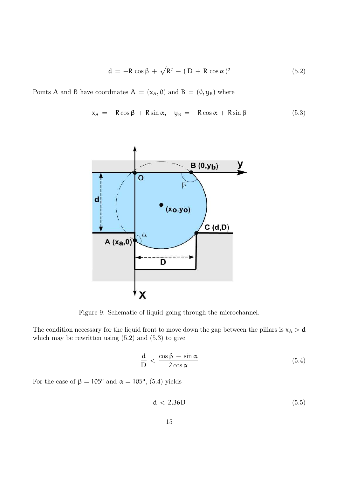$$
\mathbf{d} = -\mathbf{R} \cos \beta + \sqrt{\mathbf{R}^2 - (\mathbf{D} + \mathbf{R} \cos \alpha)^2}
$$
 (5.2)

Points A and B have coordinates  $A = (x_A, 0)$  and  $B = (0, y_B)$  where

$$
x_A = -R\cos\beta + R\sin\alpha, \quad y_B = -R\cos\alpha + R\sin\beta \tag{5.3}
$$



Figure 9: Schematic of liquid going through the microchannel.

The condition necessary for the liquid front to move down the gap between the pillars is  $x_A > d$ which may be rewritten using  $(5.2)$  and  $(5.3)$  to give

$$
\frac{\mathrm{d}}{\mathrm{D}} < \frac{\cos \beta - \sin \alpha}{2 \cos \alpha} \tag{5.4}
$$

For the case of  $\beta = 105^{\circ}$  and  $\alpha = 105^{\circ}$ , (5.4) yields

$$
d < 2.36D \tag{5.5}
$$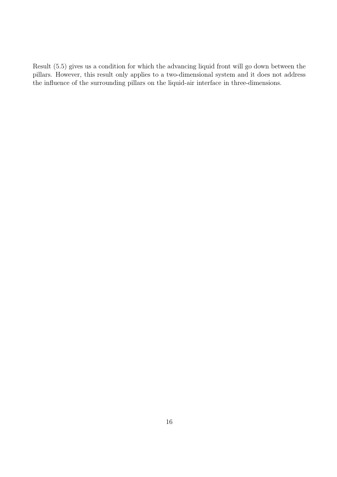Result (5.5) gives us a condition for which the advancing liquid front will go down between the pillars. However, this result only applies to a two-dimensional system and it does not address the influence of the surrounding pillars on the liquid-air interface in three-dimensions.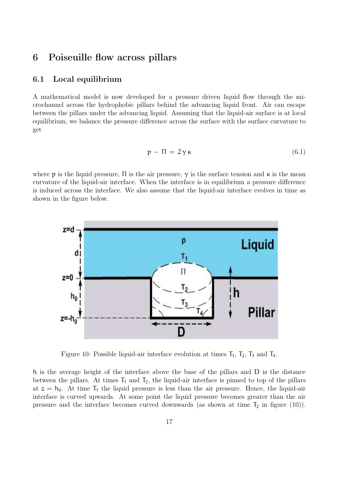## 6 Poiseuille flow across pillars

### 6.1 Local equilibrium

A mathematical model is now developed for a pressure driven liquid flow through the microchannel across the hydrophobic pillars behind the advancing liquid front. Air can escape between the pillars under the advancing liquid. Assuming that the liquid-air surface is at local equilibrium, we balance the pressure difference across the surface with the surface curvature to get

$$
p - \Pi = 2\gamma \kappa \tag{6.1}
$$

where p is the liquid pressure,  $\Pi$  is the air pressure,  $\gamma$  is the surface tension and  $\kappa$  is the mean curvature of the liquid-air interface. When the interface is in equilibrium a pressure difference is induced across the interface. We also assume that the liquid-air interface evolves in time as shown in the figure below.



Figure 10: Possible liquid-air interface evolution at times  $T_1$ ,  $T_2$ ,  $T_3$  and  $T_4$ .

h is the average height of the interface above the base of the pillars and D is the distance between the pillars. At times  $T_1$  and  $T_2$ , the liquid-air interface is pinned to top of the pillars at  $z = h_0$ . At time  $T_1$  the liquid pressure is less than the air pressure. Hence, the liquid-air interface is curved upwards. At some point the liquid pressure becomes greater than the air pressure and the interface becomes curved downwards (as shown at time  $T_2$  in figure (10)).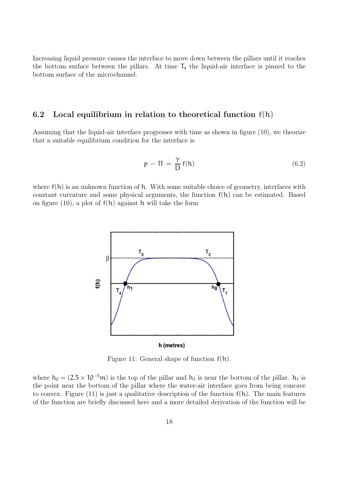Increasing liquid pressure causes the interface to move down between the pillars until it reaches the bottom surface between the pillars. At time  $T_4$  the liquid-air interface is pinned to the bottom surface of the microchannel.

### 6.2 Local equilibrium in relation to theoretical function f(h)

Assuming that the liquid-air interface progresses with time as shown in figure (10), we theorize that a suitable equilibrium condition for the interface is

$$
p - \Pi = \frac{\gamma}{D} f(h) \tag{6.2}
$$

where  $f(h)$  is an unknown function of h. With some suitable choice of geometry, interfaces with constant curvature and some physical arguments, the function  $f(h)$  can be estimated. Based on figure (10), a plot of  $f(h)$  against h will take the form



Figure 11: General shape of function f(h).

where  $h_0 = (2.5 \times 10^{-5} \text{m})$  is the top of the pillar and  $h_1$  is near the bottom of the pillar.  $h_1$  is the point near the bottom of the pillar where the water-air interface goes from being concave to convex. Figure (11) is just a qualitative description of the function  $f(h)$ . The main features of the function are briefly discussed here and a more detailed derivation of the function will be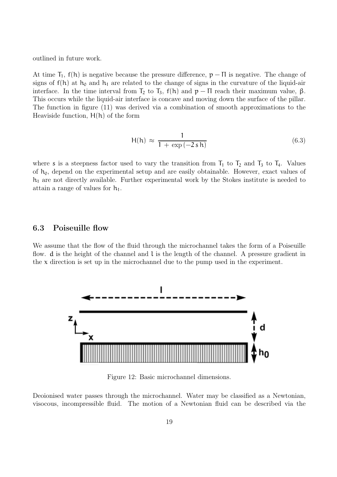outlined in future work.

At time  $T_1$ ,  $f(h)$  is negative because the pressure difference,  $p - \Pi$  is negative. The change of signs of  $f(h)$  at  $h_0$  and  $h_1$  are related to the change of signs in the curvature of the liquid-air interface. In the time interval from  $T_2$  to  $T_3$ ,  $f(h)$  and  $p - \Pi$  reach their maximum value,  $\beta$ . This occurs while the liquid-air interface is concave and moving down the surface of the pillar. The function in figure (11) was derived via a combination of smooth approximations to the Heaviside function,  $H(h)$  of the form

$$
H(h) \approx \frac{1}{1 + \exp(-2 s h)}
$$
\n(6.3)

where s is a steepness factor used to vary the transition from  $T_1$  to  $T_2$  and  $T_3$  to  $T_4$ . Values of  $h_0$ , depend on the experimental setup and are easily obtainable. However, exact values of  $h_1$  are not directly available. Further experimental work by the Stokes institute is needed to attain a range of values for  $h_1$ .

### 6.3 Poiseuille flow

We assume that the flow of the fluid through the microchannel takes the form of a Poiseuille flow.  $d$  is the height of the channel and  $l$  is the length of the channel. A pressure gradient in the  $x$  direction is set up in the microchannel due to the pump used in the experiment.



Figure 12: Basic microchannel dimensions.

Deoionised water passes through the microchannel. Water may be classified as a Newtonian, visocous, incompressible fluid. The motion of a Newtonian fluid can be described via the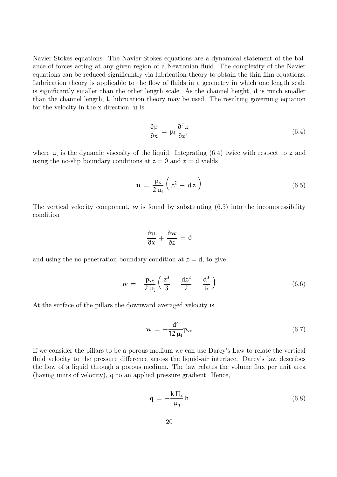Navier-Stokes equations. The Navier-Stokes equations are a dynamical statement of the balance of forces acting at any given region of a Newtonian fluid. The complexity of the Navier equations can be reduced significantly via lubrication theory to obtain the thin film equations. Lubrication theory is applicable to the flow of fluids in a geometry in which one length scale is significantly smaller than the other length scale. As the channel height, d is much smaller than the channel length, l, lubrication theory may be used. The resulting governing equation for the velocity in the  $x$  direction,  $u$  is

$$
\frac{\partial p}{\partial x} = \mu_1 \frac{\partial^2 u}{\partial z^2}
$$
 (6.4)

where  $\mu_l$  is the dynamic viscosity of the liquid. Integrating (6.4) twice with respect to z and using the no-slip boundary conditions at  $z = 0$  and  $z = d$  yields

$$
u = \frac{p_x}{2\mu_l} \left( z^2 - dz \right) \tag{6.5}
$$

The vertical velocity component, w is found by substituting  $(6.5)$  into the incompressibility condition

$$
\frac{\partial u}{\partial x} + \frac{\partial w}{\partial z} = 0
$$

and using the no penetration boundary condition at  $z = d$ , to give

$$
w = -\frac{p_{xx}}{2\mu_l} \left( \frac{z^3}{3} - \frac{dz^2}{2} + \frac{d^3}{6} \right)
$$
 (6.6)

At the surface of the pillars the downward averaged velocity is

$$
w = -\frac{d^3}{12 \,\mu_l} p_{xx} \tag{6.7}
$$

If we consider the pillars to be a porous medium we can use Darcy's Law to relate the vertical fluid velocity to the pressure difference across the liquid-air interface. Darcy's law describes the flow of a liquid through a porous medium. The law relates the volume flux per unit area (having units of velocity), q to an applied pressure gradient. Hence,

$$
q = -\frac{k \Pi_x}{\mu_g} h \tag{6.8}
$$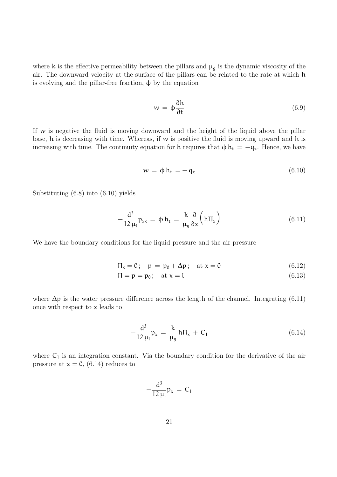where k is the effective permeability between the pillars and  $\mu<sub>g</sub>$  is the dynamic viscosity of the air. The downward velocity at the surface of the pillars can be related to the rate at which h is evolving and the pillar-free fraction,  $φ$  by the equation

$$
w = \phi \frac{\partial h}{\partial t} \tag{6.9}
$$

If w is negative the fluid is moving downward and the height of the liquid above the pillar base,  $h$  is decreasing with time. Whereas, if  $w$  is positive the fluid is moving upward and  $h$  is increasing with time. The continuity equation for h requires that  $\phi h_t = -q_x$ . Hence, we have

$$
w = \phi h_t = -q_x \tag{6.10}
$$

Substituting (6.8) into (6.10) yields

$$
-\frac{d^3}{12 \mu_l} p_{xx} = \phi h_t = \frac{k}{\mu_g} \frac{\partial}{\partial x} \left( h \Pi_x \right) \tag{6.11}
$$

We have the boundary conditions for the liquid pressure and the air pressure

$$
\Pi_x = 0; \quad p = p_0 + \Delta p; \quad \text{at } x = 0 \tag{6.12}
$$

$$
\Pi = \mathbf{p} = \mathbf{p}_0; \quad \text{at } \mathbf{x} = \mathbf{l} \tag{6.13}
$$

where  $\Delta p$  is the water pressure difference across the length of the channel. Integrating (6.11) once with respect to  $x$  leads to

$$
-\frac{d^3}{12 \mu_l} p_x = \frac{k}{\mu_g} h \Pi_x + C_1 \tag{6.14}
$$

where  $C_1$  is an integration constant. Via the boundary condition for the derivative of the air pressure at  $x = 0$ , (6.14) reduces to

$$
-\frac{d^3}{12\,\mu_l}p_x = C_1
$$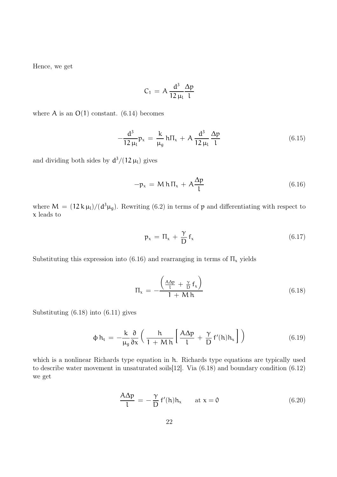Hence, we get

$$
C_1 \, = \, A \, \frac{d^3}{12 \, \mu_l} \frac{\Delta p}{l}
$$

where A is an  $O(1)$  constant. (6.14) becomes

$$
-\frac{d^3}{12\,\mu_l}p_x = \frac{k}{\mu_g}h\Pi_x + A\frac{d^3}{12\,\mu_l}\frac{\Delta p}{l}
$$
 (6.15)

and dividing both sides by  $d^3/(12 \mu_l)$  gives

$$
-p_x = M h \Pi_x + A \frac{\Delta p}{l}
$$
 (6.16)

where  $M = (12 \text{ k}\,\mu_l)/({d^3 \mu_g})$ . Rewriting (6.2) in terms of p and differentiating with respect to x leads to

$$
p_x = \Pi_x + \frac{\gamma}{D} f_x \tag{6.17}
$$

Substituting this expression into (6.16) and rearranging in terms of  $\Pi_x$  yields

$$
\Pi_{x} = -\frac{\left(\frac{A\Delta p}{l} + \frac{\gamma}{D}f_{x}\right)}{1 + M h}
$$
\n(6.18)

Substituting (6.18) into (6.11) gives

$$
\phi h_t = -\frac{k}{\mu_g} \frac{\partial}{\partial x} \left( \frac{h}{1 + M h} \left[ \frac{A \Delta p}{l} + \frac{\gamma}{D} f'(h) h_x \right] \right) \tag{6.19}
$$

which is a nonlinear Richards type equation in h. Richards type equations are typically used to describe water movement in unsaturated soils[12]. Via (6.18) and boundary condition (6.12) we get

$$
\frac{A\Delta p}{l} = -\frac{\gamma}{D} f'(h) h_x \quad \text{at } x = 0 \tag{6.20}
$$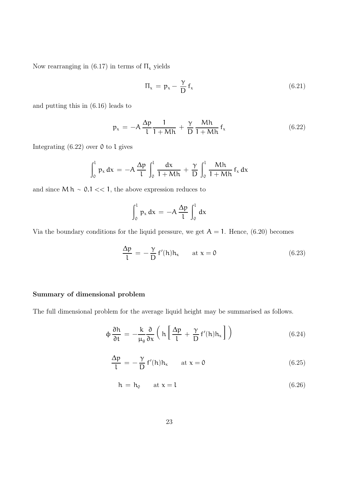Now rearranging in (6.17) in terms of  $\Pi_x$  yields

$$
\Pi_x = p_x - \frac{\gamma}{D} f_x \tag{6.21}
$$

and putting this in (6.16) leads to

$$
p_x = -A \frac{\Delta p}{l} \frac{1}{1 + Mh} + \frac{\gamma}{D} \frac{Mh}{1 + Mh} f_x
$$
 (6.22)

Integrating  $(6.22)$  over 0 to l gives

$$
\int_0^1 p_x dx = -A \frac{\Delta p}{l} \int_0^l \frac{dx}{1+Mh} + \frac{\gamma}{D} \int_0^l \frac{Mh}{1+Mh} f_x dx
$$

and since  $M h \sim 0.1 \ll 1$ , the above expression reduces to

$$
\int_0^1 p_x dx = -A \frac{\Delta p}{l} \int_0^l dx
$$

Via the boundary conditions for the liquid pressure, we get  $A = 1$ . Hence, (6.20) becomes

$$
\frac{\Delta p}{l} = -\frac{\gamma}{D} f'(h) h_x \quad \text{at } x = 0 \tag{6.23}
$$

#### Summary of dimensional problem

The full dimensional problem for the average liquid height may be summarised as follows.

$$
\phi \frac{\partial h}{\partial t} = -\frac{k}{\mu_g} \frac{\partial}{\partial x} \left( h \left[ \frac{\Delta p}{l} + \frac{\gamma}{D} f'(h) h_x \right] \right) \tag{6.24}
$$

$$
\frac{\Delta p}{l} = -\frac{\gamma}{D} f'(h) h_x \quad \text{at } x = 0 \tag{6.25}
$$

$$
h = h_0 \qquad \text{at } x = l \tag{6.26}
$$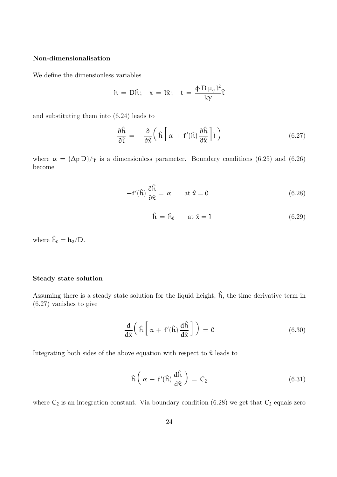#### Non-dimensionalisation

We define the dimensionless variables

$$
h = D\hat{h}; \quad x = l\hat{x}; \quad t = \frac{\phi D \mu_g l^2}{k\gamma} \hat{t}
$$

and substituting them into (6.24) leads to

$$
\frac{\partial \hat{\mathbf{h}}}{\partial \hat{\mathbf{t}}} = -\frac{\partial}{\partial \hat{\mathbf{x}}} \left( \hat{\mathbf{h}} \left[ \alpha + \mathbf{f}'(\hat{\mathbf{h}}) \frac{\partial \hat{\mathbf{h}}}{\partial \hat{\mathbf{x}}} \right] \right) \tag{6.27}
$$

where  $\alpha = (\Delta p D)/\gamma$  is a dimensionless parameter. Boundary conditions (6.25) and (6.26) become

$$
-f'(\hat{\mathbf{h}})\frac{\partial \hat{\mathbf{h}}}{\partial \hat{\mathbf{x}}} = \alpha \quad \text{at } \hat{\mathbf{x}} = 0 \tag{6.28}
$$

$$
\hat{\mathbf{h}} = \hat{\mathbf{h}}_0 \qquad \text{at } \hat{\mathbf{x}} = 1 \tag{6.29}
$$

where  $\hat{h}_0 = h_0/D$ .

#### Steady state solution

Assuming there is a steady state solution for the liquid height,  $\hat{h}$ , the time derivative term in (6.27) vanishes to give

$$
\frac{d}{d\hat{x}}\left(\hat{h}\left[\alpha + f'(\hat{h})\frac{d\hat{h}}{d\hat{x}}\right]\right) = 0
$$
\n(6.30)

Integrating both sides of the above equation with respect to  $\hat{x}$  leads to

$$
\hat{h}\left(\alpha + f'(\hat{h})\frac{d\hat{h}}{d\hat{x}}\right) = C_2
$$
\n(6.31)

where  $C_2$  is an integration constant. Via boundary condition (6.28) we get that  $C_2$  equals zero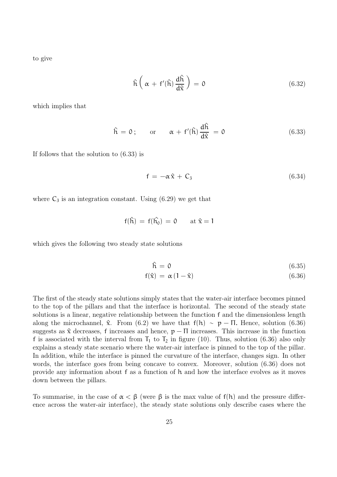to give

$$
\hat{\mathbf{h}}\left(\alpha + \mathbf{f}'(\hat{\mathbf{h}})\frac{\mathrm{d}\hat{\mathbf{h}}}{\mathrm{d}\hat{\mathbf{x}}}\right) = 0\tag{6.32}
$$

which implies that

$$
\hat{h} = 0;
$$
 or  $\alpha + f'(\hat{h}) \frac{d\hat{h}}{d\hat{x}} = 0$  (6.33)

If follows that the solution to (6.33) is

$$
f = -\alpha \hat{x} + C_3 \tag{6.34}
$$

where  $C_3$  is an integration constant. Using  $(6.29)$  we get that

$$
f(\hat{h})\,=\,f(\hat{h_0})\,=\,0\qquad\mathrm{at}\,\,\hat{x}=1
$$

which gives the following two steady state solutions

$$
\hat{\mathbf{h}} = \mathbf{0} \tag{6.35}
$$

$$
f(\hat{x}) = \alpha (1 - \hat{x}) \tag{6.36}
$$

The first of the steady state solutions simply states that the water-air interface becomes pinned to the top of the pillars and that the interface is horizontal. The second of the steady state solutions is a linear, negative relationship between the function f and the dimensionless length along the microchannel,  $\hat{x}$ . From (6.2) we have that  $f(h) \sim p - \Pi$ . Hence, solution (6.36) suggests as  $\hat{x}$  decreases, f increases and hence,  $p - \Pi$  increases. This increase in the function f is associated with the interval from  $T_1$  to  $T_2$  in figure (10). Thus, solution (6.36) also only explains a steady state scenario where the water-air interface is pinned to the top of the pillar. In addition, while the interface is pinned the curvature of the interface, changes sign. In other words, the interface goes from being concave to convex. Moreover, solution (6.36) does not provide any information about f as a function of h and how the interface evolves as it moves down between the pillars.

To summarise, in the case of  $\alpha < \beta$  (were  $\beta$  is the max value of f(h) and the pressure difference across the water-air interface), the steady state solutions only describe cases where the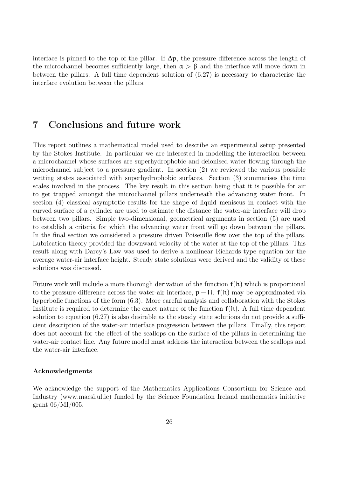interface is pinned to the top of the pillar. If  $\Delta p$ , the pressure difference across the length of the microchannel becomes sufficiently large, then  $\alpha > \beta$  and the interface will move down in between the pillars. A full time dependent solution of (6.27) is necessary to characterise the interface evolution between the pillars.

## 7 Conclusions and future work

This report outlines a mathematical model used to describe an experimental setup presented by the Stokes Institute. In particular we are interested in modelling the interaction between a microchannel whose surfaces are superhydrophobic and deionised water flowing through the microchannel subject to a pressure gradient. In section (2) we reviewed the various possible wetting states associated with superhydrophobic surfaces. Section (3) summarises the time scales involved in the process. The key result in this section being that it is possible for air to get trapped amongst the microchannel pillars underneath the advancing water front. In section (4) classical asymptotic results for the shape of liquid meniscus in contact with the curved surface of a cylinder are used to estimate the distance the water-air interface will drop between two pillars. Simple two-dimensional, geometrical arguments in section (5) are used to establish a criteria for which the advancing water front will go down between the pillars. In the final section we considered a pressure driven Poiseuille flow over the top of the pillars. Lubrication theory provided the downward velocity of the water at the top of the pillars. This result along with Darcy's Law was used to derive a nonlinear Richards type equation for the average water-air interface height. Steady state solutions were derived and the validity of these solutions was discussed.

Future work will include a more thorough derivation of the function f(h) which is proportional to the pressure difference across the water-air interface,  $p - \Pi$ . f(h) may be approximated via hyperbolic functions of the form (6.3). More careful analysis and collaboration with the Stokes Institute is required to determine the exact nature of the function  $f(h)$ . A full time dependent solution to equation (6.27) is also desirable as the steady state solutions do not provide a sufficient description of the water-air interface progression between the pillars. Finally, this report does not account for the effect of the scallops on the surface of the pillars in determining the water-air contact line. Any future model must address the interaction between the scallops and the water-air interface.

#### Acknowledgments

We acknowledge the support of the Mathematics Applications Consortium for Science and Industry (www.macsi.ul.ie) funded by the Science Foundation Ireland mathematics initiative grant 06/MI/005.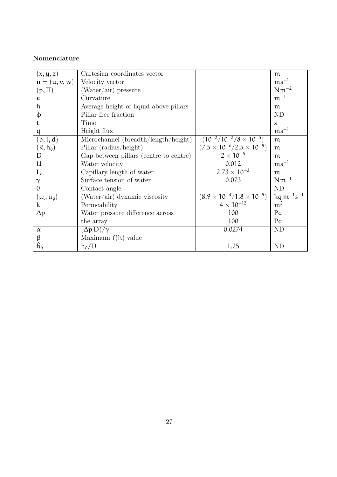## Nomenclature

| (x, y, z)                                           | Cartesian coordinates vector           |                                           | m                                   |
|-----------------------------------------------------|----------------------------------------|-------------------------------------------|-------------------------------------|
| $\mathbf{u} = (\mathbf{u}, \mathbf{v}, \mathbf{w})$ | Velocity vector                        |                                           | $\text{ms}^{-1}$                    |
| $(p,\Pi)$                                           | $(Water/air)$ pressure                 |                                           | $Nm^{-2}$                           |
| K                                                   | Curvature                              |                                           | $m^{-1}$                            |
| h                                                   | Average height of liquid above pillars |                                           | m                                   |
| φ                                                   | Pillar free fraction                   |                                           | ND                                  |
|                                                     | Time                                   |                                           | S                                   |
| q                                                   | Height flux                            |                                           | $\text{ms}^{-1}$                    |
| (b, l, d)                                           | Microchannel (breadth/length/height)   | $(10^{-2}/10^{-2}/8\times 10^{-5})$       | m                                   |
| $(R, h_0)$                                          | Pillar (radius/height)                 | $(7.5 \times 10^{-6}/2.5 \times 10^{-5})$ | m                                   |
| D                                                   | Gap between pillars (centre to centre) | $2 \times 10^{-5}$                        | m                                   |
| U                                                   | Water velocity                         | 0.012                                     | $\text{ms}^{-1}$                    |
| $L_c$                                               | Capillary length of water              | $2.73 \times 10^{-3}$                     | m                                   |
| $\gamma$                                            | Surface tension of water               | 0.073                                     | $Nm^{-1}$                           |
| $\theta$                                            | Contact angle                          |                                           | <b>ND</b>                           |
| $(\mu_l, \mu_q)$                                    | $(Water/air)$ dynamic viscosity        | $(8.9 \times 10^{-4}/1.8 \times 10^{-5})$ | $kg \, \text{m}^{-1} \text{s}^{-1}$ |
| k                                                   | Permeability                           | $4 \times 10^{-12}$                       | m <sup>2</sup>                      |
| $\Delta p$                                          | Water pressure difference across       | 100                                       | Pa                                  |
|                                                     | the array                              | 100                                       | Pa                                  |
| $\alpha$                                            | $(\Delta p D)/\gamma$                  | 0.0274                                    | ND                                  |
| $\beta$                                             | Maximum $f(h)$ value                   |                                           |                                     |
| $h_0$                                               | $h_0/D$                                | 1.25                                      | ND                                  |